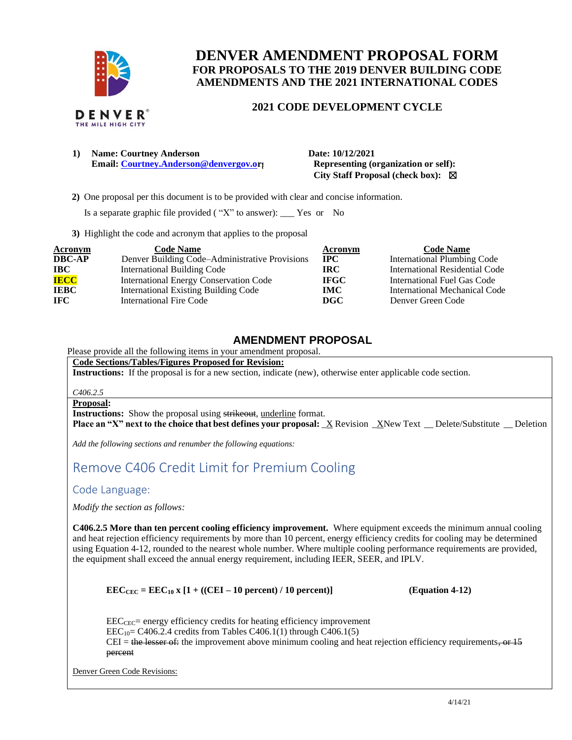

## **DENVER AMENDMENT PROPOSAL FORM FOR PROPOSALS TO THE 2019 DENVER BUILDING CODE AMENDMENTS AND THE 2021 INTERNATIONAL CODES**

## **2021 CODE DEVELOPMENT CYCLE**

| <b>Name: Courtney Anderson</b>                | Date: |
|-----------------------------------------------|-------|
| <b>Email: Courtney.Anderson@denvergov.org</b> | Repr  |

**1) Name: Courtney Anderson Date: 10/12/2021 Example 5 Email: Conservergovergover General** Representing (organization or self):  **City Staff Proposal (check box):** ☒

 **2)** One proposal per this document is to be provided with clear and concise information.

Is a separate graphic file provided ( "X" to answer): \_\_\_ Yes or No

**3)** Highlight the code and acronym that applies to the proposal

| <b>Acronym</b> | <b>Code Name</b>                               | Acronym     | <b>Code Name</b>                      |
|----------------|------------------------------------------------|-------------|---------------------------------------|
| <b>DBC-AP</b>  | Denver Building Code–Administrative Provisions | $\bf IPC$   | <b>International Plumbing Code</b>    |
| <b>IBC</b>     | International Building Code                    | IRC.        | <b>International Residential Code</b> |
| <b>IECC</b>    | <b>International Energy Conservation Code</b>  | <b>IFGC</b> | International Fuel Gas Code           |
| <b>IEBC</b>    | <b>International Existing Building Code</b>    | <b>IMC</b>  | International Mechanical Code         |
| IFC.           | International Fire Code                        | DGC         | Denver Green Code                     |

## **AMENDMENT PROPOSAL**

Please provide all the following items in your amendment proposal.

**Code Sections/Tables/Figures Proposed for Revision:**

**Instructions:** If the proposal is for a new section, indicate (new), otherwise enter applicable code section.

#### *C406.2.5*

**Proposal:**

**Instructions:** Show the proposal using strikeout, underline format.

**Place an "X" next to the choice that best defines your proposal:** X Revision XNew Text Delete/Substitute Deletion

*Add the following sections and renumber the following equations:* 

# Remove C406 Credit Limit for Premium Cooling

*Modify the section as follows:* 

**C406.2.5 More than ten percent cooling efficiency improvement.** Where equipment exceeds the minimum annual cooling and heat rejection efficiency requirements by more than 10 percent, energy efficiency credits for cooling may be determined using Equation 4-12, rounded to the nearest whole number. Where multiple cooling performance requirements are provided, the equipment shall exceed the annual energy requirement, including IEER, SEER, and IPLV.

### **EEC**<sub>CEC</sub> = **EEC**<sub>10</sub> **x**  $[1 + ((CEI – 10 percent) / 10 percent)]$  **(Equation 4-12)**

 $\text{EEC}_{\text{CEC}}$  energy efficiency credits for heating efficiency improvement  $\text{EEC}_{10}$  = C406.2.4 credits from Tables C406.1(1) through C406.1(5) CEI = the lesser of: the improvement above minimum cooling and heat rejection efficiency requirements, or  $15$ percent

Denver Green Code Revisions:

Code Language: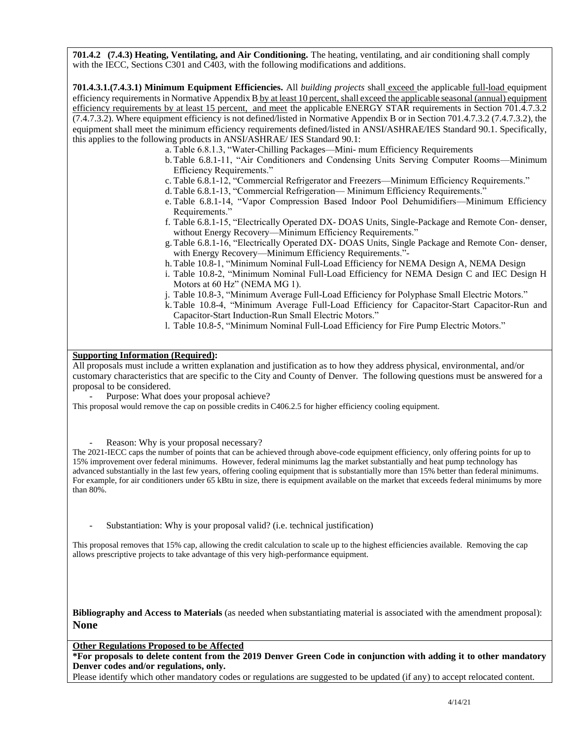**701.4.2 (7.4.3) Heating, Ventilating, and Air Conditioning.** The heating, ventilating, and air conditioning shall comply with the IECC, Sections C301 and C403, with the following modifications and additions.

**701.4.3.1.(7.4.3.1) Minimum Equipment Efficiencies.** All *building projects* shall exceed the applicable full-load equipment efficiency requirements in Normative Appendix B by at least 10 percent, shall exceed the applicable seasonal (annual) equipment efficiency requirements by at least 15 percent, and meet the applicable ENERGY STAR requirements in Section 701.4.7.3.2 (7.4.7.3.2). Where equipment efficiency is not defined/listed in Normative Appendix B or in Section 701.4.7.3.2 (7.4.7.3.2), the equipment shall meet the minimum efficiency requirements defined/listed in ANSI/ASHRAE/IES Standard 90.1. Specifically, this applies to the following products in ANSI/ASHRAE/ IES Standard 90.1:

- a. Table 6.8.1.3, "Water-Chilling Packages—Mini- mum Efficiency Requirements
- b.Table 6.8.1-11, "Air Conditioners and Condensing Units Serving Computer Rooms—Minimum Efficiency Requirements."
- c. Table 6.8.1-12, "Commercial Refrigerator and Freezers—Minimum Efficiency Requirements."
	- d.Table 6.8.1-13, "Commercial Refrigeration— Minimum Efficiency Requirements."
	- e. Table 6.8.1-14, "Vapor Compression Based Indoor Pool Dehumidifiers—Minimum Efficiency Requirements."
	- f. Table 6.8.1-15, "Electrically Operated DX- DOAS Units, Single-Package and Remote Con- denser, without Energy Recovery—Minimum Efficiency Requirements."
	- g.Table 6.8.1-16, "Electrically Operated DX- DOAS Units, Single Package and Remote Con- denser, with Energy Recovery—Minimum Efficiency Requirements."-
	- h.Table 10.8-1, "Minimum Nominal Full-Load Efficiency for NEMA Design A, NEMA Design
- i. Table 10.8-2, "Minimum Nominal Full-Load Efficiency for NEMA Design C and IEC Design H Motors at 60 Hz" (NEMA MG 1).
- j. Table 10.8-3, "Minimum Average Full-Load Efficiency for Polyphase Small Electric Motors."
- k.Table 10.8-4, "Minimum Average Full-Load Efficiency for Capacitor-Start Capacitor-Run and Capacitor-Start Induction-Run Small Electric Motors."
- l. Table 10.8-5, "Minimum Nominal Full-Load Efficiency for Fire Pump Electric Motors."

#### **Supporting Information (Required):**

All proposals must include a written explanation and justification as to how they address physical, environmental, and/or customary characteristics that are specific to the City and County of Denver. The following questions must be answered for a proposal to be considered.

Purpose: What does your proposal achieve?

This proposal would remove the cap on possible credits in C406.2.5 for higher efficiency cooling equipment.

Reason: Why is your proposal necessary?

The 2021-IECC caps the number of points that can be achieved through above-code equipment efficiency, only offering points for up to 15% improvement over federal minimums. However, federal minimums lag the market substantially and heat pump technology has advanced substantially in the last few years, offering cooling equipment that is substantially more than 15% better than federal minimums. For example, for air conditioners under 65 kBtu in size, there is equipment available on the market that exceeds federal minimums by more than 80%.

Substantiation: Why is your proposal valid? (i.e. technical justification)

This proposal removes that 15% cap, allowing the credit calculation to scale up to the highest efficiencies available. Removing the cap allows prescriptive projects to take advantage of this very high-performance equipment.

**Bibliography and Access to Materials** (as needed when substantiating material is associated with the amendment proposal): **None**

**Other Regulations Proposed to be Affected**

**\*For proposals to delete content from the 2019 Denver Green Code in conjunction with adding it to other mandatory Denver codes and/or regulations, only.**

Please identify which other mandatory codes or regulations are suggested to be updated (if any) to accept relocated content.